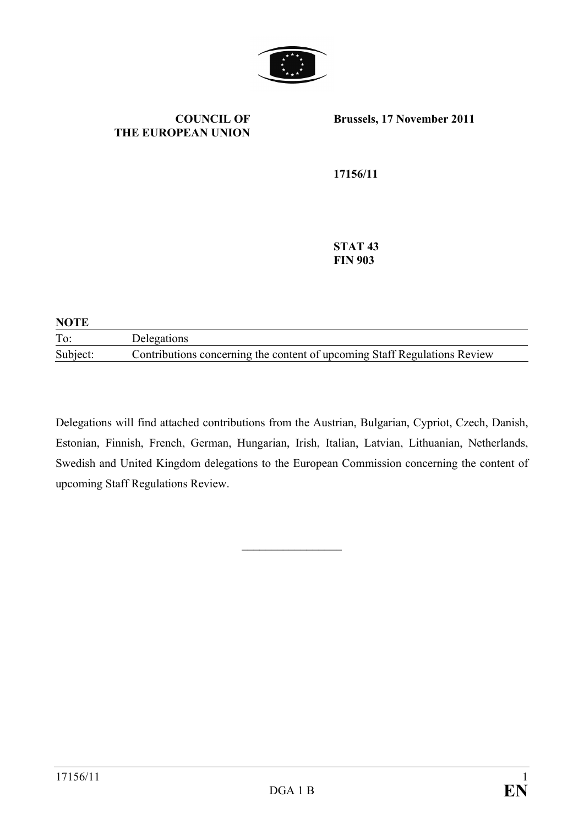

**COUNCIL OF THE EUROPEAN UNION** **Brussels, 17 November 2011** 

**17156/11** 

**STAT 43 FIN 903** 

| <b>NOTE</b> |                                                                           |
|-------------|---------------------------------------------------------------------------|
| To:         | Delegations                                                               |
| Subject:    | Contributions concerning the content of upcoming Staff Regulations Review |

Delegations will find attached contributions from the Austrian, Bulgarian, Cypriot, Czech, Danish, Estonian, Finnish, French, German, Hungarian, Irish, Italian, Latvian, Lithuanian, Netherlands, Swedish and United Kingdom delegations to the European Commission concerning the content of upcoming Staff Regulations Review.

 $\frac{1}{2}$  ,  $\frac{1}{2}$  ,  $\frac{1}{2}$  ,  $\frac{1}{2}$  ,  $\frac{1}{2}$  ,  $\frac{1}{2}$  ,  $\frac{1}{2}$  ,  $\frac{1}{2}$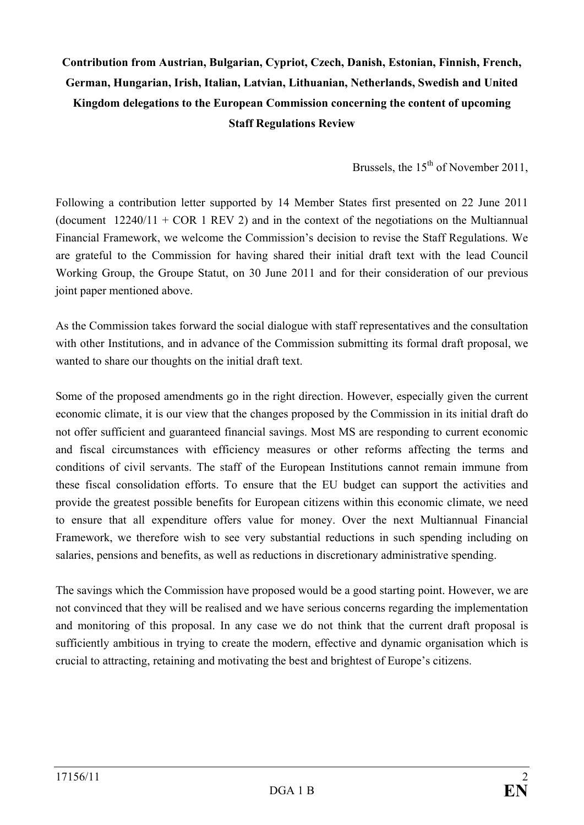# **Contribution from Austrian, Bulgarian, Cypriot, Czech, Danish, Estonian, Finnish, French, German, Hungarian, Irish, Italian, Latvian, Lithuanian, Netherlands, Swedish and United Kingdom delegations to the European Commission concerning the content of upcoming Staff Regulations Review**

Brussels, the  $15<sup>th</sup>$  of November 2011.

Following a contribution letter supported by 14 Member States first presented on 22 June 2011 (document  $12240/11 + COR$  1 REV 2) and in the context of the negotiations on the Multiannual Financial Framework, we welcome the Commission's decision to revise the Staff Regulations. We are grateful to the Commission for having shared their initial draft text with the lead Council Working Group, the Groupe Statut, on 30 June 2011 and for their consideration of our previous joint paper mentioned above.

As the Commission takes forward the social dialogue with staff representatives and the consultation with other Institutions, and in advance of the Commission submitting its formal draft proposal, we wanted to share our thoughts on the initial draft text.

Some of the proposed amendments go in the right direction. However, especially given the current economic climate, it is our view that the changes proposed by the Commission in its initial draft do not offer sufficient and guaranteed financial savings. Most MS are responding to current economic and fiscal circumstances with efficiency measures or other reforms affecting the terms and conditions of civil servants. The staff of the European Institutions cannot remain immune from these fiscal consolidation efforts. To ensure that the EU budget can support the activities and provide the greatest possible benefits for European citizens within this economic climate, we need to ensure that all expenditure offers value for money. Over the next Multiannual Financial Framework, we therefore wish to see very substantial reductions in such spending including on salaries, pensions and benefits, as well as reductions in discretionary administrative spending.

The savings which the Commission have proposed would be a good starting point. However, we are not convinced that they will be realised and we have serious concerns regarding the implementation and monitoring of this proposal. In any case we do not think that the current draft proposal is sufficiently ambitious in trying to create the modern, effective and dynamic organisation which is crucial to attracting, retaining and motivating the best and brightest of Europe's citizens.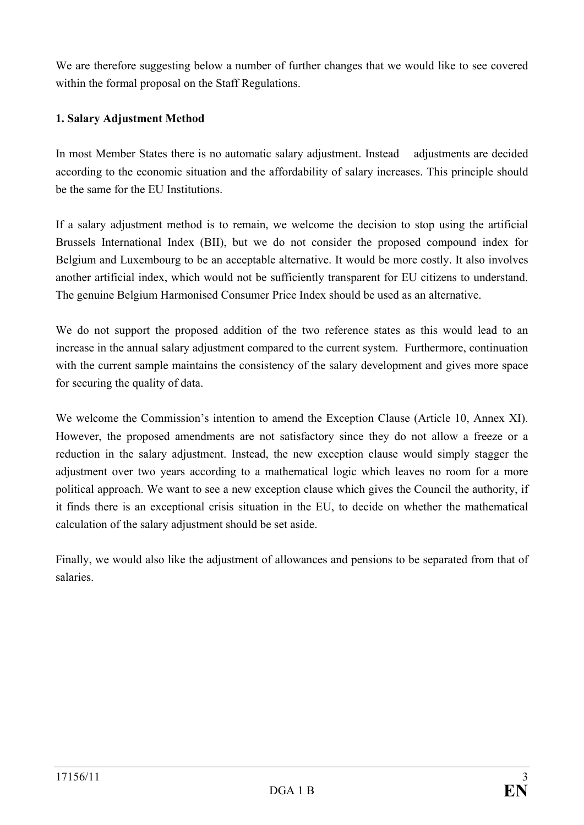We are therefore suggesting below a number of further changes that we would like to see covered within the formal proposal on the Staff Regulations.

# **1. Salary Adjustment Method**

In most Member States there is no automatic salary adjustment. Instead adjustments are decided according to the economic situation and the affordability of salary increases. This principle should be the same for the EU Institutions.

If a salary adjustment method is to remain, we welcome the decision to stop using the artificial Brussels International Index (BII), but we do not consider the proposed compound index for Belgium and Luxembourg to be an acceptable alternative. It would be more costly. It also involves another artificial index, which would not be sufficiently transparent for EU citizens to understand. The genuine Belgium Harmonised Consumer Price Index should be used as an alternative.

We do not support the proposed addition of the two reference states as this would lead to an increase in the annual salary adjustment compared to the current system. Furthermore, continuation with the current sample maintains the consistency of the salary development and gives more space for securing the quality of data.

We welcome the Commission's intention to amend the Exception Clause (Article 10, Annex XI). However, the proposed amendments are not satisfactory since they do not allow a freeze or a reduction in the salary adjustment. Instead, the new exception clause would simply stagger the adjustment over two years according to a mathematical logic which leaves no room for a more political approach. We want to see a new exception clause which gives the Council the authority, if it finds there is an exceptional crisis situation in the EU, to decide on whether the mathematical calculation of the salary adjustment should be set aside.

Finally, we would also like the adjustment of allowances and pensions to be separated from that of salaries.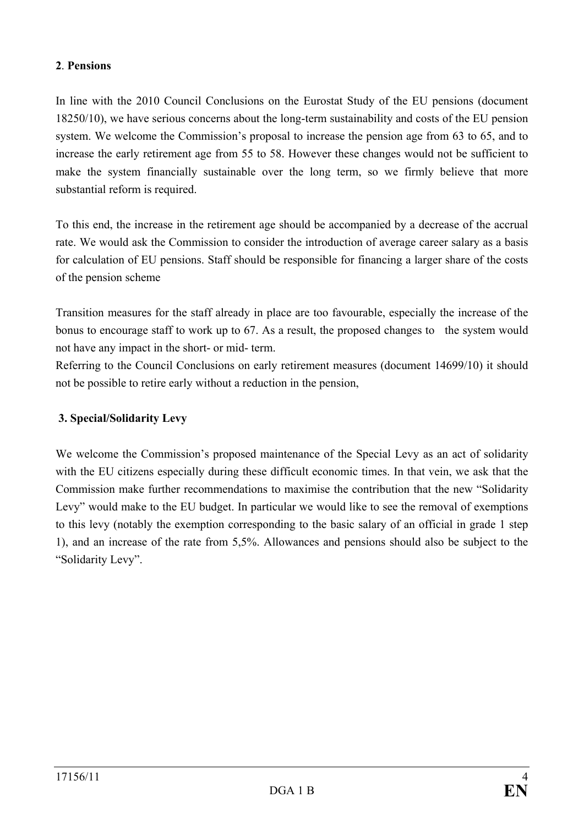#### **2**. **Pensions**

In line with the 2010 Council Conclusions on the Eurostat Study of the EU pensions (document 18250/10), we have serious concerns about the long-term sustainability and costs of the EU pension system. We welcome the Commission's proposal to increase the pension age from 63 to 65, and to increase the early retirement age from 55 to 58. However these changes would not be sufficient to make the system financially sustainable over the long term, so we firmly believe that more substantial reform is required.

To this end, the increase in the retirement age should be accompanied by a decrease of the accrual rate. We would ask the Commission to consider the introduction of average career salary as a basis for calculation of EU pensions. Staff should be responsible for financing a larger share of the costs of the pension scheme

Transition measures for the staff already in place are too favourable, especially the increase of the bonus to encourage staff to work up to 67. As a result, the proposed changes to the system would not have any impact in the short- or mid- term.

Referring to the Council Conclusions on early retirement measures (document 14699/10) it should not be possible to retire early without a reduction in the pension,

## **3. Special/Solidarity Levy**

We welcome the Commission's proposed maintenance of the Special Levy as an act of solidarity with the EU citizens especially during these difficult economic times. In that vein, we ask that the Commission make further recommendations to maximise the contribution that the new "Solidarity Levy" would make to the EU budget. In particular we would like to see the removal of exemptions to this levy (notably the exemption corresponding to the basic salary of an official in grade 1 step 1), and an increase of the rate from 5,5%. Allowances and pensions should also be subject to the "Solidarity Levy".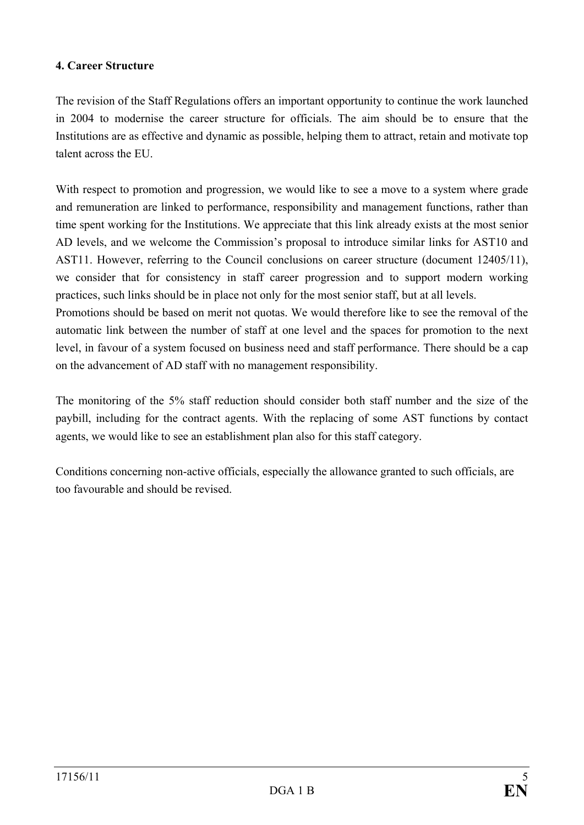#### **4. Career Structure**

The revision of the Staff Regulations offers an important opportunity to continue the work launched in 2004 to modernise the career structure for officials. The aim should be to ensure that the Institutions are as effective and dynamic as possible, helping them to attract, retain and motivate top talent across the EU.

With respect to promotion and progression, we would like to see a move to a system where grade and remuneration are linked to performance, responsibility and management functions, rather than time spent working for the Institutions. We appreciate that this link already exists at the most senior AD levels, and we welcome the Commission's proposal to introduce similar links for AST10 and AST11. However, referring to the Council conclusions on career structure (document 12405/11), we consider that for consistency in staff career progression and to support modern working practices, such links should be in place not only for the most senior staff, but at all levels.

Promotions should be based on merit not quotas. We would therefore like to see the removal of the automatic link between the number of staff at one level and the spaces for promotion to the next level, in favour of a system focused on business need and staff performance. There should be a cap on the advancement of AD staff with no management responsibility.

The monitoring of the 5% staff reduction should consider both staff number and the size of the paybill, including for the contract agents. With the replacing of some AST functions by contact agents, we would like to see an establishment plan also for this staff category.

Conditions concerning non-active officials, especially the allowance granted to such officials, are too favourable and should be revised.